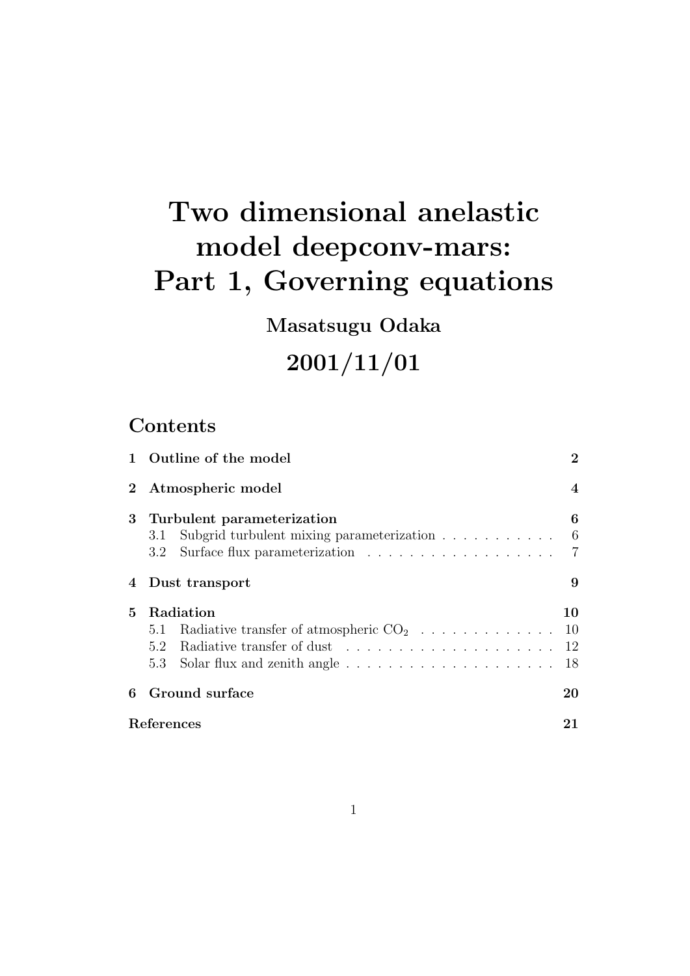# **Two dimensional anelastic model deepconv-mars: Part 1, Governing equations**

**Masatsugu Odaka**

## **2001/11/01**

## **Contents**

|          | 1 Outline of the model                                                                          | $\bf{2}$                 |
|----------|-------------------------------------------------------------------------------------------------|--------------------------|
| $\bf{2}$ | Atmospheric model                                                                               | $\overline{\mathcal{A}}$ |
| 3        | Turbulent parameterization<br>Subgrid turbulent mixing parameterization<br>3.1<br>$3.2^{\circ}$ | 6<br>6<br>$\overline{7}$ |
| 4        | Dust transport                                                                                  | 9                        |
| 5        | Radiation<br>5.1<br>5.2                                                                         | 10<br>10<br>-12<br>18    |
| 6        | Ground surface                                                                                  | 20                       |
|          | References                                                                                      | 21                       |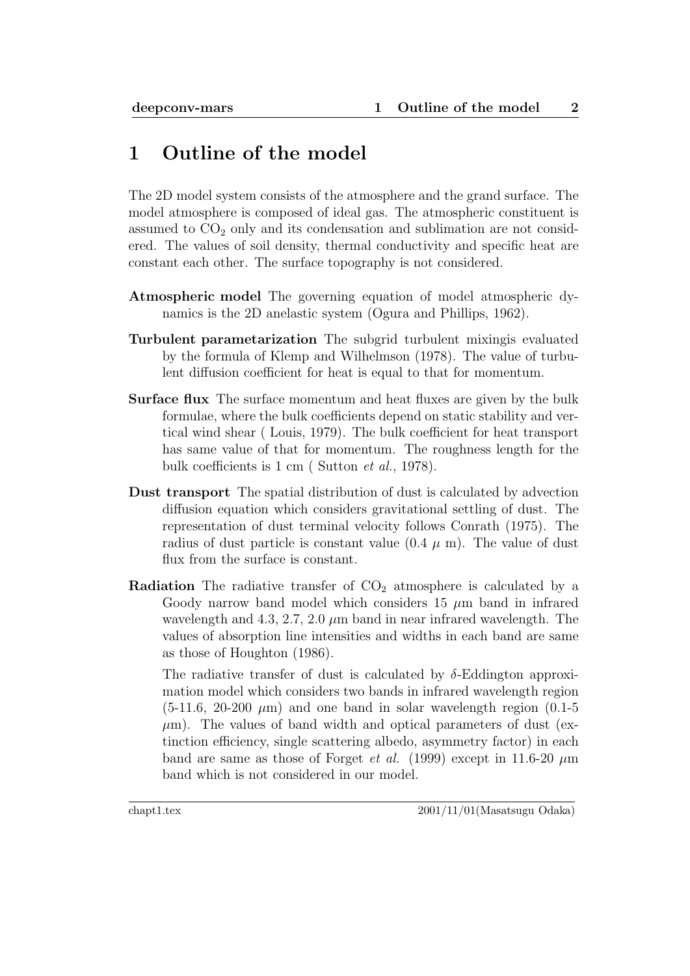## **1 Outline of the model**

The 2D model system consists of the atmosphere and the grand surface. The model atmosphere is composed of ideal gas. The atmospheric constituent is assumed to  $CO<sub>2</sub>$  only and its condensation and sublimation are not considered. The values of soil density, thermal conductivity and specific heat are constant each other. The surface topography is not considered.

- **Atmospheric model** The governing equation of model atmospheric dynamics is the 2D anelastic system (Ogura and Phillips, 1962).
- **Turbulent parametarization** The subgrid turbulent mixingis evaluated by the formula of Klemp and Wilhelmson (1978). The value of turbulent diffusion coefficient for heat is equal to that for momentum.
- **Surface flux** The surface momentum and heat fluxes are given by the bulk formulae, where the bulk coefficients depend on static stability and vertical wind shear ( Louis, 1979). The bulk coefficient for heat transport has same value of that for momentum. The roughness length for the bulk coefficients is 1 cm ( Sutton *et al.*, 1978).
- **Dust transport** The spatial distribution of dust is calculated by advection diffusion equation which considers gravitational settling of dust. The representation of dust terminal velocity follows Conrath (1975). The radius of dust particle is constant value  $(0.4 \mu \text{ m})$ . The value of dust flux from the surface is constant.
- **Radiation** The radiative transfer of  $CO<sub>2</sub>$  atmosphere is calculated by a Goody narrow band model which considers  $15 \mu m$  band in infrared wavelength and 4.3, 2.7, 2.0  $\mu$ m band in near infrared wavelength. The values of absorption line intensities and widths in each band are same as those of Houghton (1986).

The radiative transfer of dust is calculated by *δ*-Eddington approximation model which considers two bands in infrared wavelength region  $(5-11.6, 20-200 \mu m)$  and one band in solar wavelength region  $(0.1-5$  $\mu$ m). The values of band width and optical parameters of dust (extinction efficiency, single scattering albedo, asymmetry factor) in each band are same as those of Forget *et al.* (1999) except in 11.6-20  $\mu$ m band which is not considered in our model.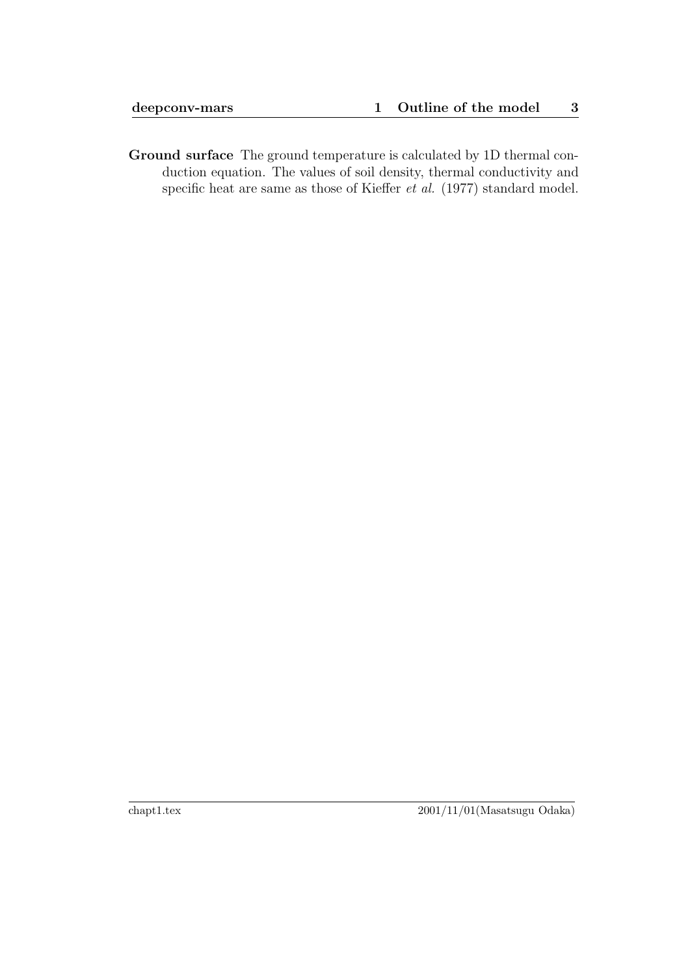**Ground surface** The ground temperature is calculated by 1D thermal conduction equation. The values of soil density, thermal conductivity and specific heat are same as those of Kieffer *et al.* (1977) standard model.

chapt1.tex 2001/11/01(Masatsugu Odaka)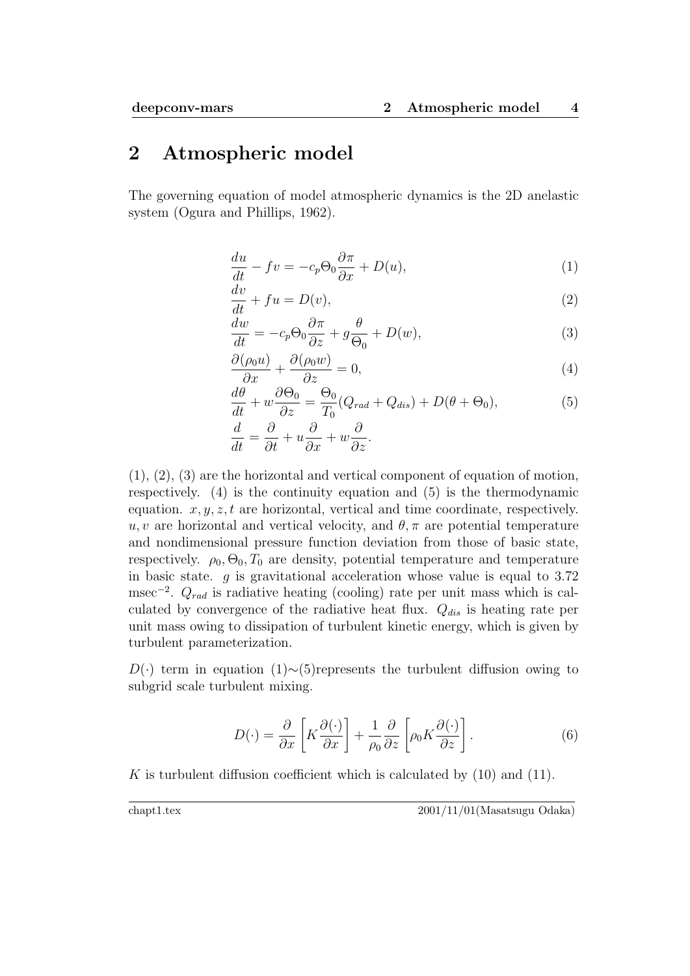## **2 Atmospheric model**

The governing equation of model atmospheric dynamics is the 2D anelastic system (Ogura and Phillips, 1962).

$$
\frac{du}{dt} - fv = -c_p \Theta_0 \frac{\partial \pi}{\partial x} + D(u),\tag{1}
$$

$$
\frac{dv}{dt} + fu = D(v),\tag{2}
$$

$$
\frac{dw}{dt} = -c_p \Theta_0 \frac{\partial \pi}{\partial z} + g \frac{\theta}{\Theta_0} + D(w),\tag{3}
$$

$$
\frac{\partial(\rho_0 u)}{\partial x} + \frac{\partial(\rho_0 w)}{\partial z} = 0,\tag{4}
$$

$$
\begin{aligned}\n\frac{d\theta}{dt} + w \frac{\partial \Theta_0}{\partial z} &= \frac{\Theta_0}{T_0} (Q_{rad} + Q_{dis}) + D(\theta + \Theta_0), \\
\frac{d}{dt} &= \frac{\partial}{\partial t} + u \frac{\partial}{\partial x} + w \frac{\partial}{\partial z}.\n\end{aligned} \tag{5}
$$

(1), (2), (3) are the horizontal and vertical component of equation of motion, respectively. (4) is the continuity equation and (5) is the thermodynamic equation. *x, y, z, t* are horizontal, vertical and time coordinate, respectively. *u, v* are horizontal and vertical velocity, and  $\theta$ ,  $\pi$  are potential temperature and nondimensional pressure function deviation from those of basic state, respectively.  $\rho_0$ ,  $\Theta_0$ ,  $T_0$  are density, potential temperature and temperature in basic state.  $g$  is gravitational acceleration whose value is equal to  $3.72$ msec*−*<sup>2</sup> . *Qrad* is radiative heating (cooling) rate per unit mass which is calculated by convergence of the radiative heat flux. *Qdis* is heating rate per unit mass owing to dissipation of turbulent kinetic energy, which is given by turbulent parameterization.

*D*(*·*) term in equation (1)∼(5)represents the turbulent diffusion owing to subgrid scale turbulent mixing.

$$
D(\cdot) = \frac{\partial}{\partial x} \left[ K \frac{\partial(\cdot)}{\partial x} \right] + \frac{1}{\rho_0} \frac{\partial}{\partial z} \left[ \rho_0 K \frac{\partial(\cdot)}{\partial z} \right].
$$
 (6)

*K* is turbulent diffusion coefficient which is calculated by (10) and (11).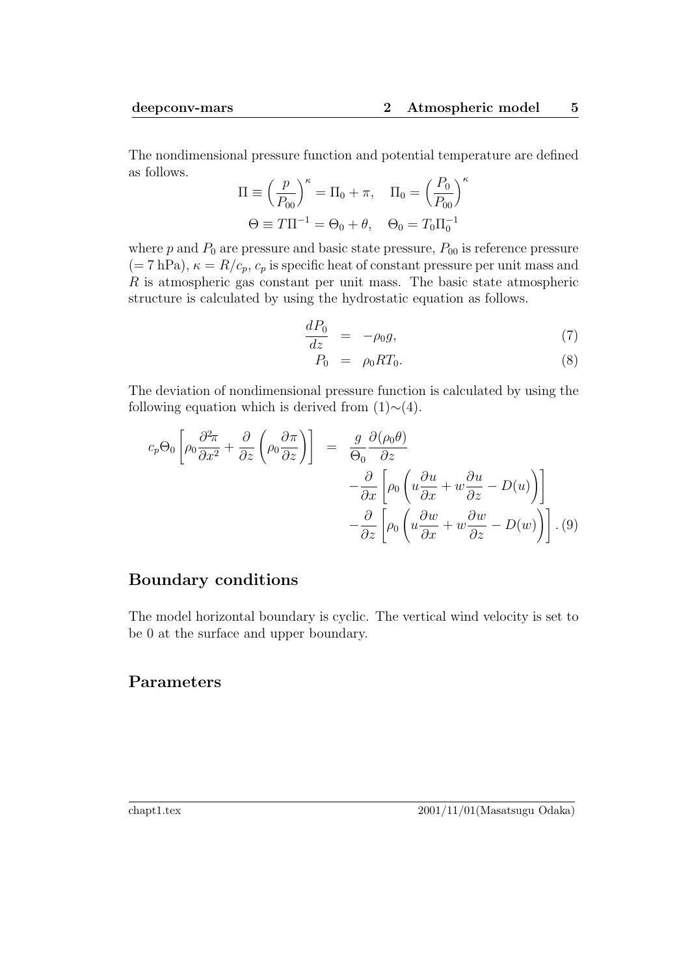The nondimensional pressure function and potential temperature are defined as follows.

$$
\Pi \equiv \left(\frac{p}{P_{00}}\right)^{\kappa} = \Pi_0 + \pi, \quad \Pi_0 = \left(\frac{P_0}{P_{00}}\right)^{\kappa}
$$

$$
\Theta \equiv T\Pi^{-1} = \Theta_0 + \theta, \quad \Theta_0 = T_0\Pi_0^{-1}
$$

where  $p$  and  $P_0$  are pressure and basic state pressure,  $P_{00}$  is reference pressure  $(= 7 \text{ hPa})$ ,  $\kappa = R/c_p$ ,  $c_p$  is specific heat of constant pressure per unit mass and *R* is atmospheric gas constant per unit mass. The basic state atmospheric structure is calculated by using the hydrostatic equation as follows.

$$
\frac{dP_0}{dz} = -\rho_0 g,\t\t(7)
$$

$$
P_0 = \rho_0 RT_0. \tag{8}
$$

The deviation of nondimensional pressure function is calculated by using the following equation which is derived from (1)*∼*(4).

$$
c_p \Theta_0 \left[ \rho_0 \frac{\partial^2 \pi}{\partial x^2} + \frac{\partial}{\partial z} \left( \rho_0 \frac{\partial \pi}{\partial z} \right) \right] = \frac{g}{\Theta_0} \frac{\partial (\rho_0 \theta)}{\partial z} - \frac{\partial}{\partial x} \left[ \rho_0 \left( u \frac{\partial u}{\partial x} + w \frac{\partial u}{\partial z} - D(u) \right) \right] - \frac{\partial}{\partial z} \left[ \rho_0 \left( u \frac{\partial u}{\partial x} + w \frac{\partial u}{\partial z} - D(w) \right) \right]. (9)
$$

#### **Boundary conditions**

The model horizontal boundary is cyclic. The vertical wind velocity is set to be 0 at the surface and upper boundary.

### **Parameters**

chapt1.tex 2001/11/01(Masatsugu Odaka)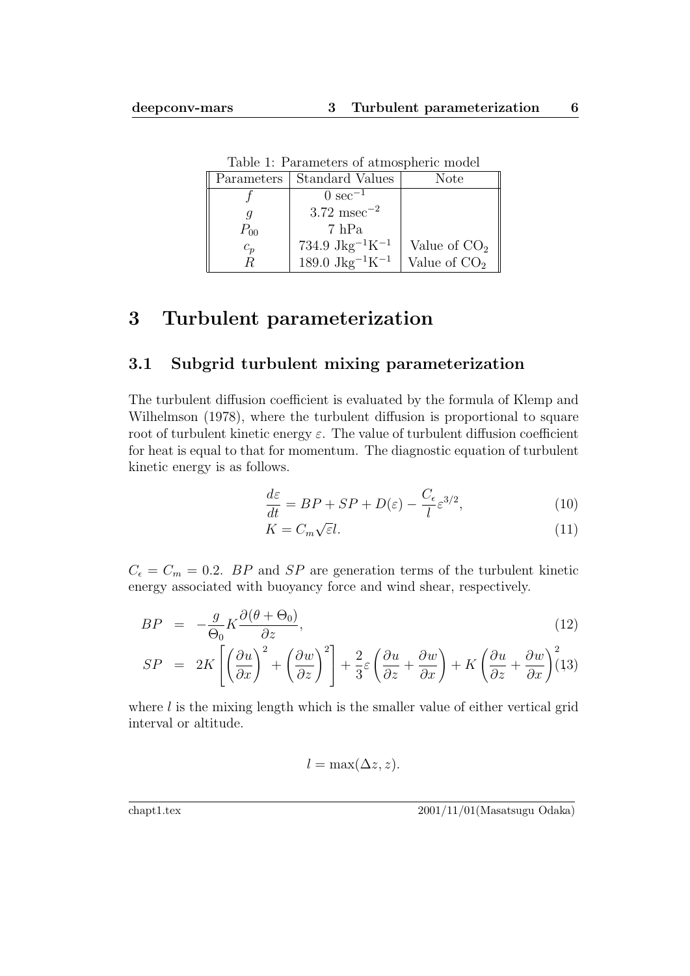| Parameters | Standard Values                         | Note           |
|------------|-----------------------------------------|----------------|
|            | $0 \text{ sec}^{-1}$                    |                |
|            | $3.72$ msec <sup>-2</sup>               |                |
| $P_{00}$   | 7 hPa                                   |                |
| $c_p$      | 734.9 J $\text{kg}^{-1}\text{K}^{-1}$   | Value of $CO2$ |
|            | 189.0 Jkg <sup>-1</sup> K <sup>-1</sup> | Value of $CO2$ |

Table 1: Parameters of atmospheric model

## **3 Turbulent parameterization**

#### **3.1 Subgrid turbulent mixing parameterization**

The turbulent diffusion coefficient is evaluated by the formula of Klemp and Wilhelmson (1978), where the turbulent diffusion is proportional to square root of turbulent kinetic energy  $\varepsilon$ . The value of turbulent diffusion coefficient for heat is equal to that for momentum. The diagnostic equation of turbulent kinetic energy is as follows.

$$
\frac{d\varepsilon}{dt} = BP + SP + D(\varepsilon) - \frac{C_{\epsilon}}{l} \varepsilon^{3/2},\tag{10}
$$

$$
K = C_m \sqrt{\varepsilon} l. \tag{11}
$$

 $C_{\epsilon} = C_m = 0.2$ . *BP* and *SP* are generation terms of the turbulent kinetic energy associated with buoyancy force and wind shear, respectively.

$$
BP = -\frac{g}{\Theta_0} K \frac{\partial (\theta + \Theta_0)}{\partial z},\tag{12}
$$

$$
SP = 2K \left[ \left( \frac{\partial u}{\partial x} \right)^2 + \left( \frac{\partial w}{\partial z} \right)^2 \right] + \frac{2}{3} \varepsilon \left( \frac{\partial u}{\partial z} + \frac{\partial w}{\partial x} \right) + K \left( \frac{\partial u}{\partial z} + \frac{\partial w}{\partial x} \right)^2 (13)
$$

where *l* is the mixing length which is the smaller value of either vertical grid interval or altitude.

$$
l = \max(\Delta z, z).
$$

chapt1.tex 2001/11/01(Masatsugu Odaka)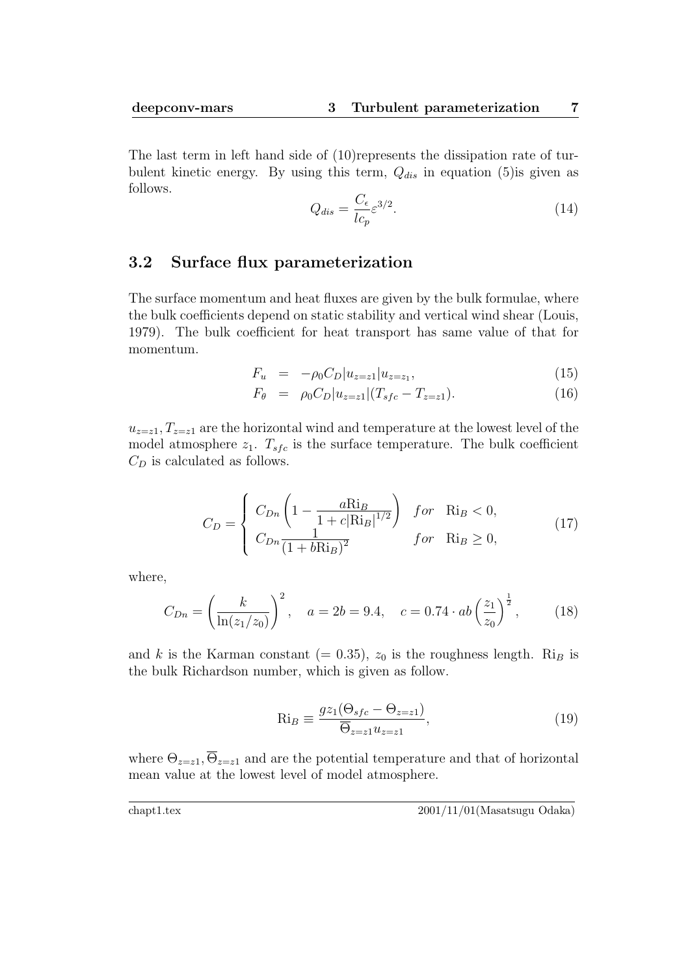The last term in left hand side of (10)represents the dissipation rate of turbulent kinetic energy. By using this term, *Qdis* in equation (5)is given as follows.

$$
Q_{dis} = \frac{C_{\epsilon}}{lc_p} \varepsilon^{3/2}.
$$
\n(14)

#### **3.2 Surface flux parameterization**

The surface momentum and heat fluxes are given by the bulk formulae, where the bulk coefficients depend on static stability and vertical wind shear (Louis, 1979). The bulk coefficient for heat transport has same value of that for momentum.

$$
F_u = -\rho_0 C_D |u_{z=z1}| u_{z=z_1}, \tag{15}
$$

$$
F_{\theta} = \rho_0 C_D |u_{z=z1}| (T_{sfc} - T_{z=z1}). \tag{16}
$$

 $u_{z=z1}, T_{z=z1}$  are the horizontal wind and temperature at the lowest level of the model atmosphere  $z_1$ .  $T_{sfc}$  is the surface temperature. The bulk coefficient *C<sup>D</sup>* is calculated as follows.

$$
C_D = \begin{cases} C_{Dn} \left( 1 - \frac{a_{\text{R}}}{1 + c_{\text{R}}}|1/2} \right) & \text{for} \quad \text{Ri}_B < 0, \\ C_{Dn} \frac{1}{(1 + b_{\text{R}})^2} & \text{for} \quad \text{Ri}_B \ge 0, \end{cases} \tag{17}
$$

where,

$$
C_{Dn} = \left(\frac{k}{\ln(z_1/z_0)}\right)^2, \quad a = 2b = 9.4, \quad c = 0.74 \cdot ab \left(\frac{z_1}{z_0}\right)^{\frac{1}{2}},\tag{18}
$$

and *k* is the Karman constant (= 0.35),  $z_0$  is the roughness length. Ri<sub>B</sub> is the bulk Richardson number, which is given as follow.

$$
\text{Ri}_B \equiv \frac{gz_1(\Theta_{sfc} - \Theta_{z=z1})}{\overline{\Theta}_{z=z1}u_{z=z1}},\tag{19}
$$

where  $\Theta_{z=z1}, \overline{\Theta}_{z=z1}$  and are the potential temperature and that of horizontal mean value at the lowest level of model atmosphere.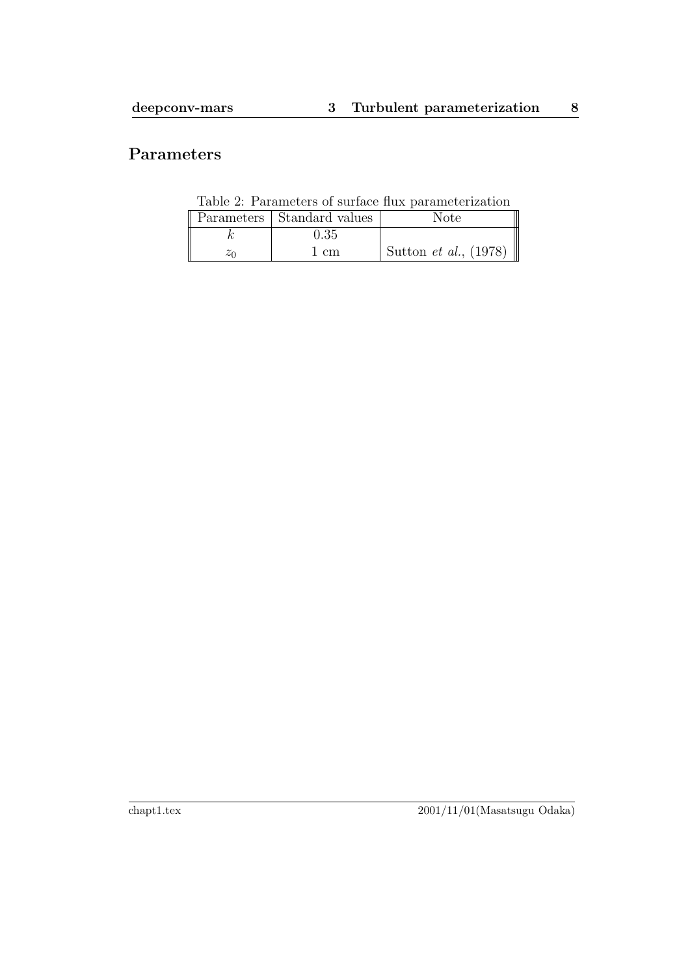## **Parameters**

Table 2: Parameters of surface flux parameterization

|       | Parameters Standard values | Note                                      |
|-------|----------------------------|-------------------------------------------|
|       | $0.35\,$                   |                                           |
| $z_0$ | 1 cm                       | Sutton <i>et al.</i> , (1978) $\parallel$ |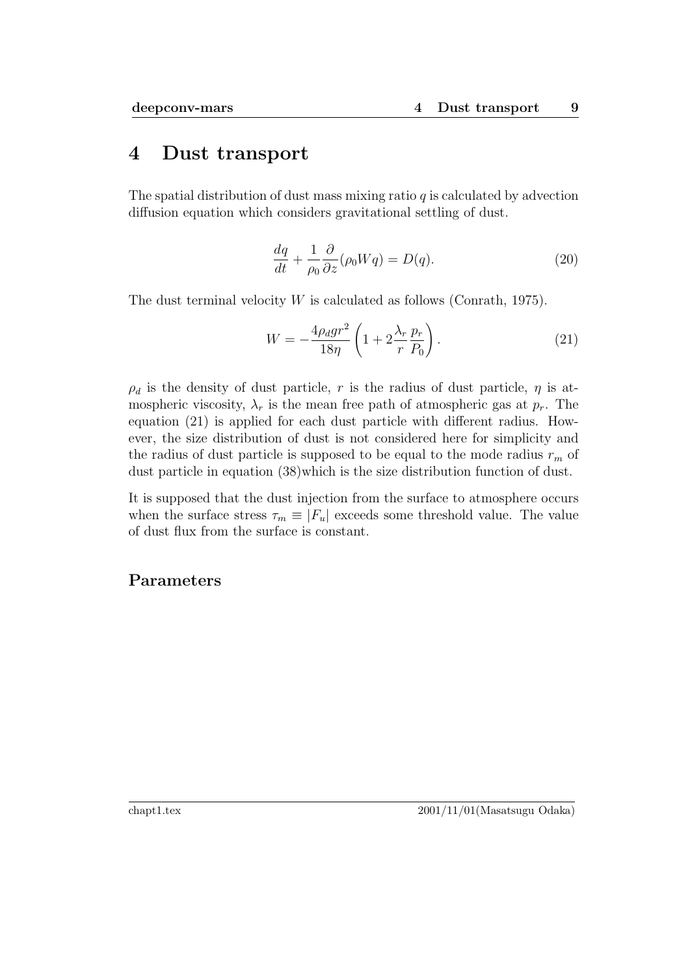## **4 Dust transport**

The spatial distribution of dust mass mixing ratio  $q$  is calculated by advection diffusion equation which considers gravitational settling of dust.

$$
\frac{dq}{dt} + \frac{1}{\rho_0} \frac{\partial}{\partial z} (\rho_0 W q) = D(q). \tag{20}
$$

The dust terminal velocity *W* is calculated as follows (Conrath, 1975).

$$
W = -\frac{4\rho_d gr^2}{18\eta} \left( 1 + 2\frac{\lambda_r}{r} \frac{p_r}{P_0} \right). \tag{21}
$$

 $\rho_d$  is the density of dust particle, *r* is the radius of dust particle, *η* is atmospheric viscosity,  $\lambda_r$  is the mean free path of atmospheric gas at  $p_r$ . The equation (21) is applied for each dust particle with different radius. However, the size distribution of dust is not considered here for simplicity and the radius of dust particle is supposed to be equal to the mode radius  $r_m$  of dust particle in equation (38)which is the size distribution function of dust.

It is supposed that the dust injection from the surface to atmosphere occurs when the surface stress  $\tau_m \equiv |F_u|$  exceeds some threshold value. The value of dust flux from the surface is constant.

#### **Parameters**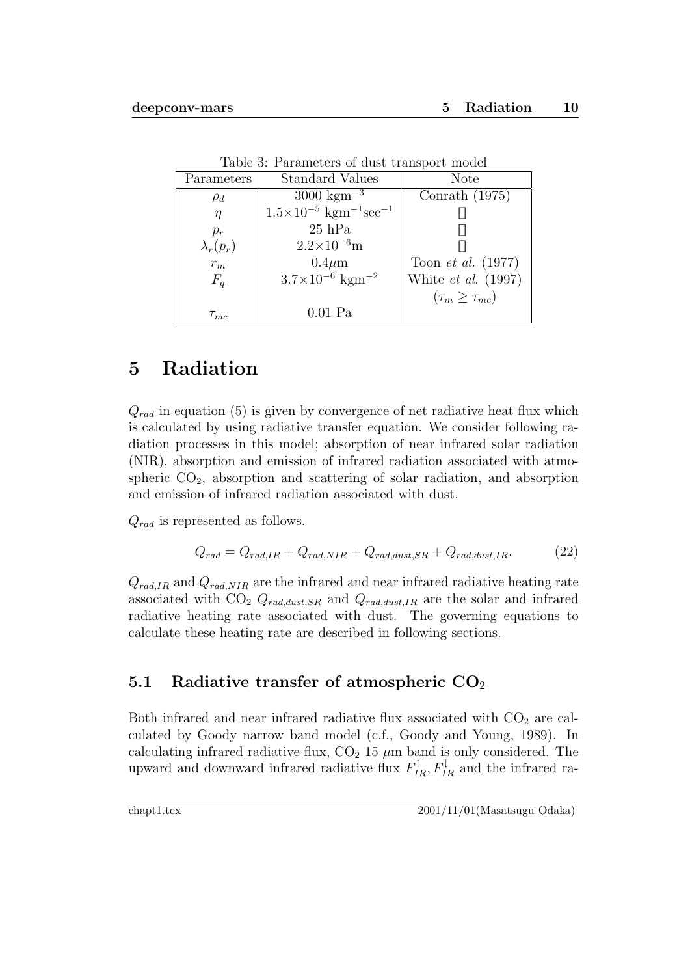| Parameters       | <b>Standard Values</b>                                   | Note                        |
|------------------|----------------------------------------------------------|-----------------------------|
| $\rho_d$         | $3000 \text{ kgm}^{-3}$                                  | Conrath $(1975)$            |
| $\eta$           | $1.5 \times 10^{-5}$ kgm <sup>-1</sup> sec <sup>-1</sup> |                             |
| $p_r$            | $25$ hPa                                                 |                             |
| $\lambda_r(p_r)$ | $2.2 \times 10^{-6}$ m                                   |                             |
| $r_m$            | $0.4 \mu m$                                              | Toon <i>et al.</i> $(1977)$ |
| $F_a$            | $3.7\times10^{-6}$ kgm <sup>-2</sup>                     | White $et \ al. (1997)$     |
|                  |                                                          | $(\tau_m \geq \tau_{mc})$   |
| $\tau_{mc}$      | $0.01$ Pa                                                |                             |

Table 3: Parameters of dust transport model

## **5 Radiation**

*Qrad* in equation (5) is given by convergence of net radiative heat flux which is calculated by using radiative transfer equation. We consider following radiation processes in this model; absorption of near infrared solar radiation (NIR), absorption and emission of infrared radiation associated with atmospheric  $CO<sub>2</sub>$ , absorption and scattering of solar radiation, and absorption and emission of infrared radiation associated with dust.

*Qrad* is represented as follows.

$$
Q_{rad} = Q_{rad,IR} + Q_{rad,NIR} + Q_{rad,dust,SR} + Q_{rad,dust,IR}.
$$
 (22)

 $Q_{rad,IR}$  and  $Q_{rad,NIR}$  are the infrared and near infrared radiative heating rate associated with  $CO_2$   $Q_{rad,dust,SR}$  and  $Q_{rad,dust,IR}$  are the solar and infrared radiative heating rate associated with dust. The governing equations to calculate these heating rate are described in following sections.

### **5.1 Radiative transfer of atmospheric CO**<sup>2</sup>

Both infrared and near infrared radiative flux associated with  $CO<sub>2</sub>$  are calculated by Goody narrow band model (c.f., Goody and Young, 1989). In calculating infrared radiative flux,  $CO<sub>2</sub> 15 \mu m$  band is only considered. The upward and downward infrared radiative flux  $F_{IR}^{\dagger}, F_{IR}^{\dagger}$  and the infrared ra-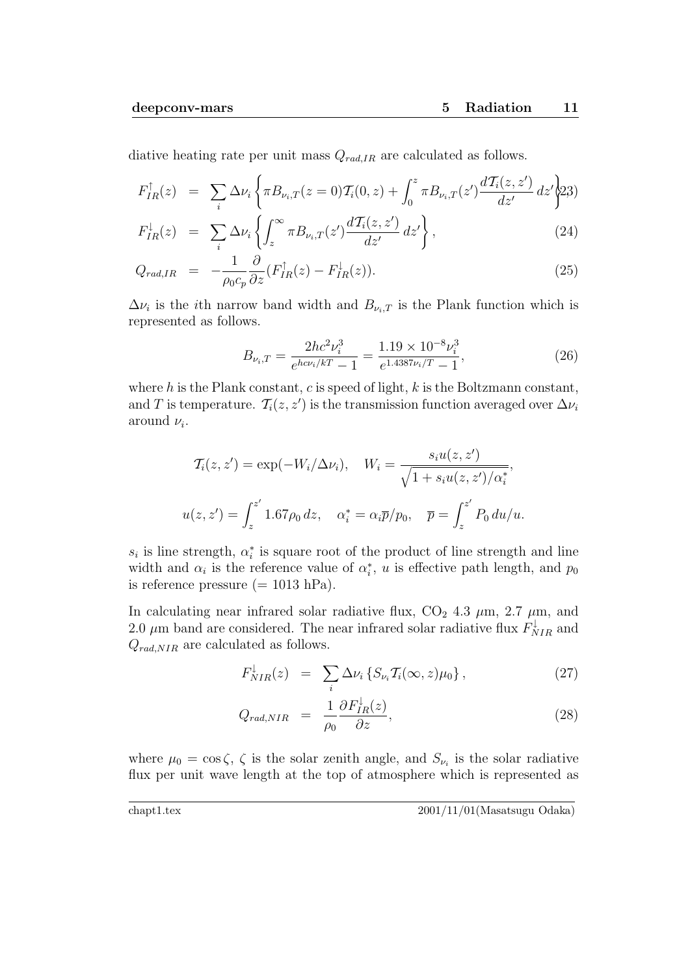diative heating rate per unit mass *Qrad,IR* are calculated as follows.

$$
F_{IR}^{\uparrow}(z) = \sum_{i} \Delta \nu_i \left\{ \pi B_{\nu_i, T}(z=0) \mathcal{T}_i(0, z) + \int_0^z \pi B_{\nu_i, T}(z') \frac{d \mathcal{T}_i(z, z')}{dz'} dz' \right\} 23)
$$

$$
F_{IR}^{\downarrow}(z) = \sum_{i} \Delta \nu_i \left\{ \int_z^{\infty} \pi B_{\nu_i, T}(z') \frac{d\mathcal{T}_i(z, z')}{dz'} dz' \right\},\tag{24}
$$

$$
Q_{rad,IR} = -\frac{1}{\rho_0 c_p} \frac{\partial}{\partial z} (F_{IR}^{\dagger}(z) - F_{IR}^{\dagger}(z)). \tag{25}
$$

 $\Delta \nu_i$  is the *i*th narrow band width and  $B_{\nu_i,T}$  is the Plank function which is represented as follows.

$$
B_{\nu_i,T} = \frac{2hc^2\nu_i^3}{e^{hc\nu_i/kT} - 1} = \frac{1.19 \times 10^{-8}\nu_i^3}{e^{1.4387\nu_i/T} - 1},\tag{26}
$$

where *h* is the Plank constant, *c* is speed of light, *k* is the Boltzmann constant, and *T* is temperature.  $\mathcal{T}_i(z, z')$  is the transmission function averaged over  $\Delta \nu_i$ around  $\nu_i$ .

$$
T_i(z, z') = \exp(-W_i/\Delta \nu_i), \quad W_i = \frac{s_i u(z, z')}{\sqrt{1 + s_i u(z, z')/\alpha_i^*}},
$$
  

$$
u(z, z') = \int_z^{z'} 1.67 \rho_0 dz, \quad \alpha_i^* = \alpha_i \overline{p}/p_0, \quad \overline{p} = \int_z^{z'} P_0 du/u.
$$

 $s_i$  is line strength,  $\alpha_i^*$  is square root of the product of line strength and line width and  $\alpha_i$  is the reference value of  $\alpha_i^*$ , *u* is effective path length, and  $p_0$ is reference pressure  $(= 1013$  hPa).

In calculating near infrared solar radiative flux,  $CO_2$  4.3  $\mu$ m, 2.7  $\mu$ m, and 2.0  $\mu$ m band are considered. The near infrared solar radiative flux  $F_{NIR}^{\downarrow}$  and *Qrad,NIR* are calculated as follows.

$$
F_{NIR}^{\downarrow}(z) = \sum_{i} \Delta \nu_i \left\{ S_{\nu_i} \mathcal{T}_i(\infty, z) \mu_0 \right\}, \tag{27}
$$

$$
Q_{rad,NIR} = \frac{1}{\rho_0} \frac{\partial F_{IR}^{\downarrow}(z)}{\partial z},\tag{28}
$$

where  $\mu_0 = \cos \zeta$ ,  $\zeta$  is the solar zenith angle, and  $S_{\nu_i}$  is the solar radiative flux per unit wave length at the top of atmosphere which is represented as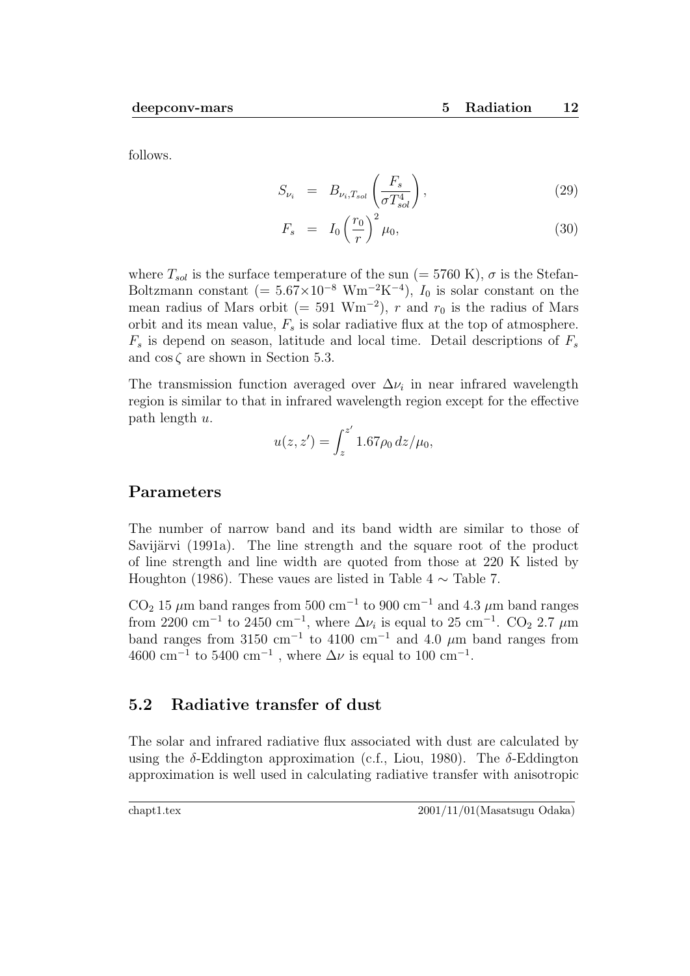follows.

$$
S_{\nu_i} = B_{\nu_i, T_{sol}} \left( \frac{F_s}{\sigma T_{sol}^4} \right), \tag{29}
$$

$$
F_s = I_0 \left(\frac{r_0}{r}\right)^2 \mu_0, \tag{30}
$$

where  $T_{sol}$  is the surface temperature of the sun (= 5760 K),  $\sigma$  is the Stefan-Boltzmann constant (=  $5.67 \times 10^{-8}$  Wm<sup>-2</sup>K<sup>-4</sup>), *I*<sub>0</sub> is solar constant on the mean radius of Mars orbit (=  $591 \text{ Wm}^{-2}$ ), *r* and  $r_0$  is the radius of Mars orbit and its mean value,  $F_s$  is solar radiative flux at the top of atmosphere.  $F_s$  is depend on season, latitude and local time. Detail descriptions of  $F_s$ and  $\cos \zeta$  are shown in Section 5.3.

The transmission function averaged over  $\Delta \nu_i$  in near infrared wavelength region is similar to that in infrared wavelength region except for the effective path length *u*.

$$
u(z, z') = \int_{z}^{z'} 1.67 \rho_0 \, dz / \mu_0,
$$

#### **Parameters**

The number of narrow band and its band width are similar to those of Savijärvi (1991a). The line strength and the square root of the product of line strength and line width are quoted from those at 220 K listed by Houghton (1986). These vaues are listed in Table 4 *∼* Table 7.

CO<sub>2</sub> 15  $\mu$ m band ranges from 500 cm<sup>-1</sup> to 900 cm<sup>-1</sup> and 4.3  $\mu$ m band ranges from 2200 cm<sup>−1</sup> to 2450 cm<sup>−1</sup>, where  $\Delta \nu_i$  is equal to 25 cm<sup>−1</sup>. CO<sub>2</sub> 2.7  $\mu$ m band ranges from 3150 cm*−*<sup>1</sup> to 4100 cm*−*<sup>1</sup> and 4.0 *µ*m band ranges from 4600 cm*−*<sup>1</sup> to 5400 cm*−*<sup>1</sup> , where ∆*ν* is equal to 100 cm*−*<sup>1</sup> .

## **5.2 Radiative transfer of dust**

The solar and infrared radiative flux associated with dust are calculated by using the *δ*-Eddington approximation (c.f., Liou, 1980). The *δ*-Eddington approximation is well used in calculating radiative transfer with anisotropic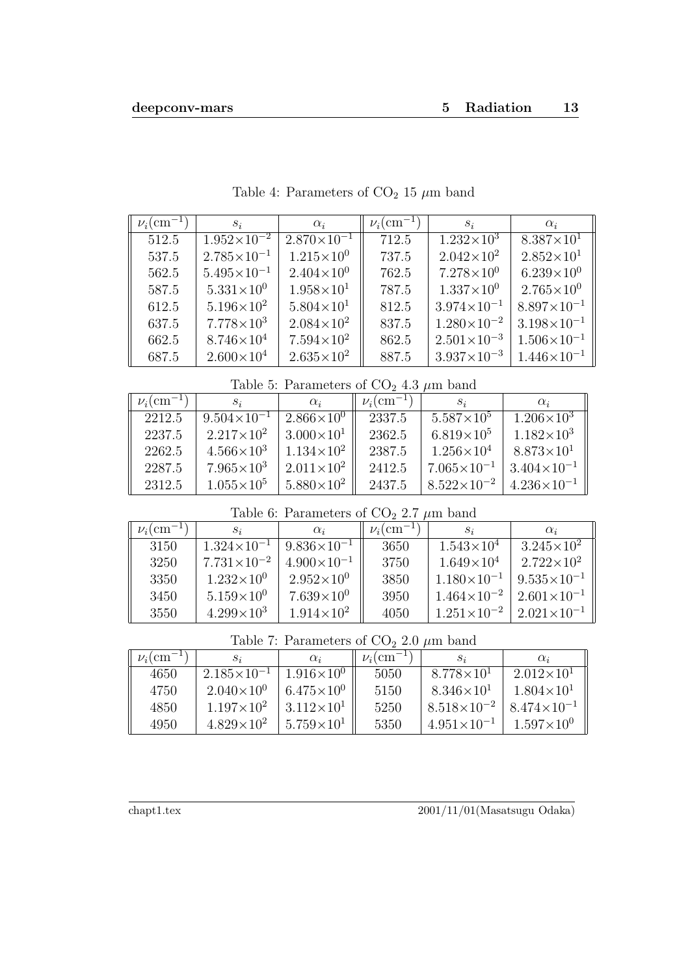| $\nu_i(\text{cm}^{-1})$ | $S_i$                  | $\alpha_i$            | $\nu_i(\text{cm}^{-1})$ | $S_i$                | $\alpha_i$             |
|-------------------------|------------------------|-----------------------|-------------------------|----------------------|------------------------|
| 512.5                   | $1.952\times10^{-2}$   | $2.870\times10^{-1}$  | 712.5                   | $1.232\times10^{3}$  | $8.387\times10^{1}$    |
| 537.5                   | $2.785 \times 10^{-1}$ | $1.215\times10^{0}$   | 737.5                   | $2.042\times10^{2}$  | $2.852\times10^{1}$    |
| 562.5                   | $5.495 \times 10^{-1}$ | $2.404 \times 10^{0}$ | 762.5                   | $7.278\times10^{0}$  | $6.239\times10^{0}$    |
| 587.5                   | $5.331\times10^{0}$    | $1.958\times10^{1}$   | 787.5                   | $1.337\times10^{0}$  | $2.765\times10^{0}$    |
| 612.5                   | $5.196\times10^{2}$    | $5.804\times10^{1}$   | 812.5                   | $3.974\times10^{-1}$ | $8.897\times10^{-1}$   |
| 637.5                   | $7.778\times10^{3}$    | $2.084\times10^{2}$   | 837.5                   | $1.280\times10^{-2}$ | $3.198 \times 10^{-1}$ |
| 662.5                   | $8.746\times10^{4}$    | $7.594\times10^{2}$   | 862.5                   | $2.501\times10^{-3}$ | $1.506\times10^{-1}$   |
| 687.5                   | $2.600\times10^{4}$    | $2.635 \times 10^{2}$ | 887.5                   | $3.937\times10^{-3}$ | $1.446\times10^{-1}$   |

Table 4: Parameters of CO<sub>2</sub> 15  $\mu \mathrm{m}$  band

Table 5: Parameters of  $CO<sub>2</sub>$  4.3  $\mu$ m band

| $\nu_i(\text{cm}^{-1})$ | $S_i$                | $\alpha_i$          | $\nu_i(\text{cm}^{-1})$ | $S_i$                | $\alpha_i$           |
|-------------------------|----------------------|---------------------|-------------------------|----------------------|----------------------|
| 2212.5                  | $9.504\times10^{-1}$ | $2.866\times10^{0}$ | 2337.5                  | $5.587\times10^{5}$  | $1.206\times10^{3}$  |
| 2237.5                  | $2.217\times10^{2}$  | $3.000\times10^{1}$ | 2362.5                  | $6.819\times10^{5}$  | $1.182\times10^{3}$  |
| 2262.5                  | $4.566\times10^{3}$  | $1.134\times10^{2}$ | 2387.5                  | $1.256\times10^{4}$  | $8.873\times10^{1}$  |
| 2287.5                  | $7.965\times10^{3}$  | $2.011\times10^{2}$ | 2412.5                  | $7.065\times10^{-1}$ | $3.404\times10^{-1}$ |
| 2312.5                  | $1.055\times10^{5}$  | $5.880\times10^{2}$ | 2437.5                  | $8.522\times10^{-2}$ | $4.236\times10^{-1}$ |

Table 6: Parameters of  $CO<sub>2</sub> 2.7 \mu m$  band

| $\nu_i(\text{cm}^{-1})$ | $S_i$                | $\alpha_i$           | $\nu_i(\text{cm}^{-1})$ | $S_i$                | $\alpha_i$             |
|-------------------------|----------------------|----------------------|-------------------------|----------------------|------------------------|
| 3150                    | $1.324\times10^{-1}$ | $9.836\times10^{-1}$ | 3650                    | $1.543\times10^{4}$  | $3.245 \times 10^{2}$  |
| 3250                    | $7.731\times10^{-2}$ | $4.900\times10^{-1}$ | 3750                    | $1.649\times10^{4}$  | $2.722\times10^{2}$    |
| 3350                    | $1.232\times10^{0}$  | $2.952\times10^{0}$  | 3850                    | $1.180\times10^{-1}$ | $9.535 \times 10^{-1}$ |
| 3450                    | $5.159\times10^{0}$  | $7.639\times10^{0}$  | 3950                    | $1.464\times10^{-2}$ | $2.601\times10^{-1}$   |
| 3550                    | $4.299\times10^{3}$  | $1.914\times10^{2}$  | 4050                    | $1.251\times10^{-2}$ | $2.021\times10^{-1}$   |

Table 7: Parameters of CO<sub>2</sub> 2.0  $\mu \mathrm{m}$  band

| $\nu_i(\text{cm}^{-1})$ | $S_i$                | $\alpha_i$          | $\nu_i(\text{cm}^{-1})$ | $S_i$                | $\alpha_i$           |
|-------------------------|----------------------|---------------------|-------------------------|----------------------|----------------------|
| 4650                    | $2.185\times10^{-1}$ | $1.916\times10^{0}$ | 5050                    | $8.778\times10^{1}$  | $2.012\times10^{1}$  |
| 4750                    | $2.040\times10^{0}$  | $6.475\times10^{0}$ | 5150                    | $8.346\times10^{1}$  | $1.804\times10^{1}$  |
| 4850                    | $1.197\times10^{2}$  | $3.112\times10^{1}$ | 5250                    | $8.518\times10^{-2}$ | $8.474\times10^{-1}$ |
| 4950                    | $4.829\times10^{2}$  | $5.759\times10^{1}$ | 5350                    | $4.951\times10^{-1}$ | $1.597\times10^{0}$  |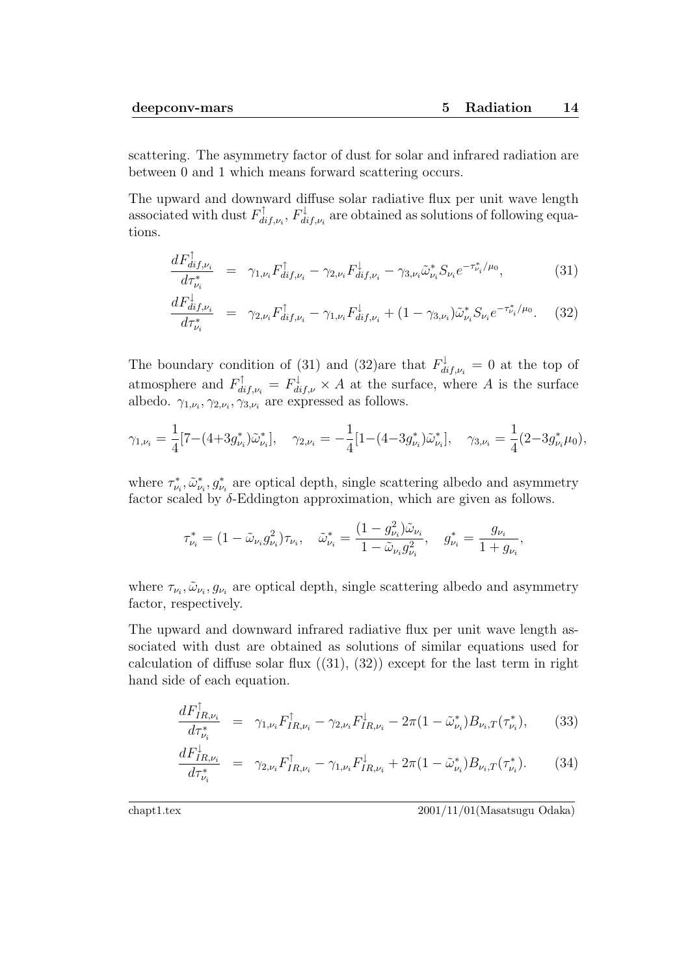scattering. The asymmetry factor of dust for solar and infrared radiation are between 0 and 1 which means forward scattering occurs.

The upward and downward diffuse solar radiative flux per unit wave length associated with dust  $F_{dif,\nu_i}^{\perp}, F_{dif,\nu_i}^{\perp}$  are obtained as solutions of following equations.

$$
\frac{dF_{dif,v_i}^{\perp}}{d\tau_{\nu_i}^*} = \gamma_{1,\nu_i} F_{dif,v_i}^{\uparrow} - \gamma_{2,\nu_i} F_{dif,v_i}^{\downarrow} - \gamma_{3,\nu_i} \tilde{\omega}_{\nu_i}^* S_{\nu_i} e^{-\tau_{\nu_i}^* / \mu_0}, \tag{31}
$$

$$
\frac{dF_{dif,v_i}^{\downarrow}}{d\tau_{\nu_i}^*} = \gamma_{2,\nu_i} F_{dif,v_i}^{\uparrow} - \gamma_{1,\nu_i} F_{dif,v_i}^{\downarrow} + (1 - \gamma_{3,\nu_i}) \tilde{\omega}_{\nu_i}^* S_{\nu_i} e^{-\tau_{\nu_i}^* / \mu_0}.
$$
 (32)

The boundary condition of (31) and (32)are that  $F_{dif,\nu_i}^{\downarrow} = 0$  at the top of atmosphere and  $F_{dif,\nu_i}^{\perp} = F_{dif,\nu}^{\perp} \times A$  at the surface, where *A* is the surface albedo.  $\gamma_{1,\nu_i}, \gamma_{2,\nu_i}, \gamma_{3,\nu_i}$  are expressed as follows.

$$
\gamma_{1,\nu_i} = \frac{1}{4} [7 - (4 + 3 g^*_{\nu_i}) \tilde{\omega}_{\nu_i}^*], \quad \gamma_{2,\nu_i} = -\frac{1}{4} [1 - (4 - 3 g^*_{\nu_i}) \tilde{\omega}_{\nu_i}^*], \quad \gamma_{3,\nu_i} = \frac{1}{4} (2 - 3 g^*_{\nu_i} \mu_0),
$$

where  $\tau_{\nu_i}^*, \tilde{\omega}_{\nu_i}^*, g_{\nu_i}^*$  are optical depth, single scattering albedo and asymmetry factor scaled by  $\delta$ -Eddington approximation, which are given as follows.

$$
\tau_{\nu_i}^* = (1 - \tilde{\omega}_{\nu_i} g_{\nu_i}^2) \tau_{\nu_i}, \quad \tilde{\omega}_{\nu_i}^* = \frac{(1 - g_{\nu_i}^2) \tilde{\omega}_{\nu_i}}{1 - \tilde{\omega}_{\nu_i} g_{\nu_i}^2}, \quad g_{\nu_i}^* = \frac{g_{\nu_i}}{1 + g_{\nu_i}},
$$

where  $\tau_{\nu_i}, \tilde{\omega}_{\nu_i}, g_{\nu_i}$  are optical depth, single scattering albedo and asymmetry factor, respectively.

The upward and downward infrared radiative flux per unit wave length associated with dust are obtained as solutions of similar equations used for calculation of diffuse solar flux  $((31), (32))$  except for the last term in right hand side of each equation.

$$
\frac{dF_{IR,\nu_i}^{\dagger}}{d\tau_{\nu_i}^*} = \gamma_{1,\nu_i} F_{IR,\nu_i}^{\dagger} - \gamma_{2,\nu_i} F_{IR,\nu_i}^{\dagger} - 2\pi (1 - \tilde{\omega}_{\nu_i}^*) B_{\nu_i,T}(\tau_{\nu_i}^*),
$$
(33)

$$
\frac{dF_{IR,\nu_i}^{\downarrow}}{d\tau_{\nu_i}^*} = \gamma_{2,\nu_i} F_{IR,\nu_i}^{\uparrow} - \gamma_{1,\nu_i} F_{IR,\nu_i}^{\downarrow} + 2\pi (1 - \tilde{\omega}_{\nu_i}^*) B_{\nu_i,T}(\tau_{\nu_i}^*). \tag{34}
$$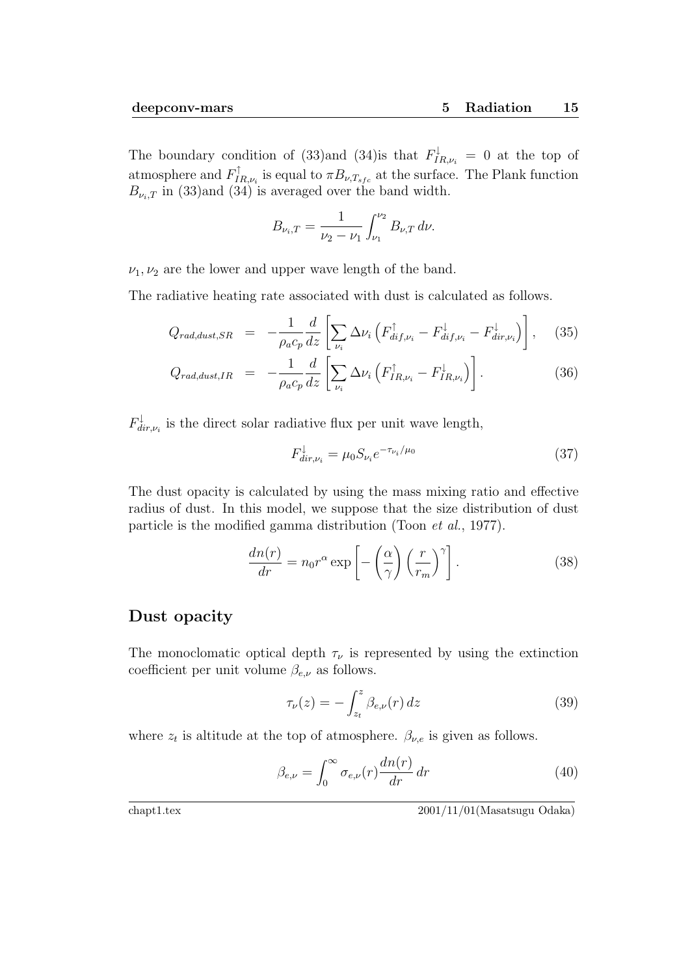The boundary condition of (33)and (34) is that  $F_{IR,\nu_i}^{\downarrow} = 0$  at the top of atmosphere and  $F_{IR,\nu_i}^{\perp}$  is equal to  $\pi B_{\nu,T_{sfc}}$  at the surface. The Plank function  $B_{\nu_i,T}$  in (33)and (34) is averaged over the band width.

$$
B_{\nu_i,T} = \frac{1}{\nu_2 - \nu_1} \int_{\nu_1}^{\nu_2} B_{\nu,T} \, d\nu.
$$

 $\nu_1, \nu_2$  are the lower and upper wave length of the band.

The radiative heating rate associated with dust is calculated as follows.

$$
Q_{rad,dust,SR} = -\frac{1}{\rho_a c_p} \frac{d}{dz} \left[ \sum_{\nu_i} \Delta \nu_i \left( F_{dif,\nu_i}^{\dagger} - F_{dif,\nu_i}^{\dagger} - F_{dir,\nu_i}^{\dagger} \right) \right], \quad (35)
$$

$$
Q_{rad,dust,IR} = -\frac{1}{\rho_a c_p} \frac{d}{dz} \left[ \sum_{\nu_i} \Delta \nu_i \left( F_{IR,\nu_i}^{\dagger} - F_{IR,\nu_i}^{\dagger} \right) \right]. \tag{36}
$$

 $F^{\downarrow}_{dir,\nu_i}$  is the direct solar radiative flux per unit wave length,

$$
F_{dir,\nu_i}^{\downarrow} = \mu_0 S_{\nu_i} e^{-\tau_{\nu_i}/\mu_0} \tag{37}
$$

The dust opacity is calculated by using the mass mixing ratio and effective radius of dust. In this model, we suppose that the size distribution of dust particle is the modified gamma distribution (Toon *et al.*, 1977).

$$
\frac{dn(r)}{dr} = n_0 r^{\alpha} \exp\left[-\left(\frac{\alpha}{\gamma}\right) \left(\frac{r}{r_m}\right)^{\gamma}\right].
$$
\n(38)

#### **Dust opacity**

The monoclomatic optical depth  $\tau_{\nu}$  is represented by using the extinction coefficient per unit volume *βe,ν* as follows.

$$
\tau_{\nu}(z) = -\int_{z_t}^{z} \beta_{e,\nu}(r) dz \tag{39}
$$

where  $z_t$  is altitude at the top of atmosphere.  $\beta_{\nu,e}$  is given as follows.

$$
\beta_{e,\nu} = \int_0^\infty \sigma_{e,\nu}(r) \frac{dn(r)}{dr} dr \tag{40}
$$

chapt1.tex 2001/11/01(Masatsugu Odaka)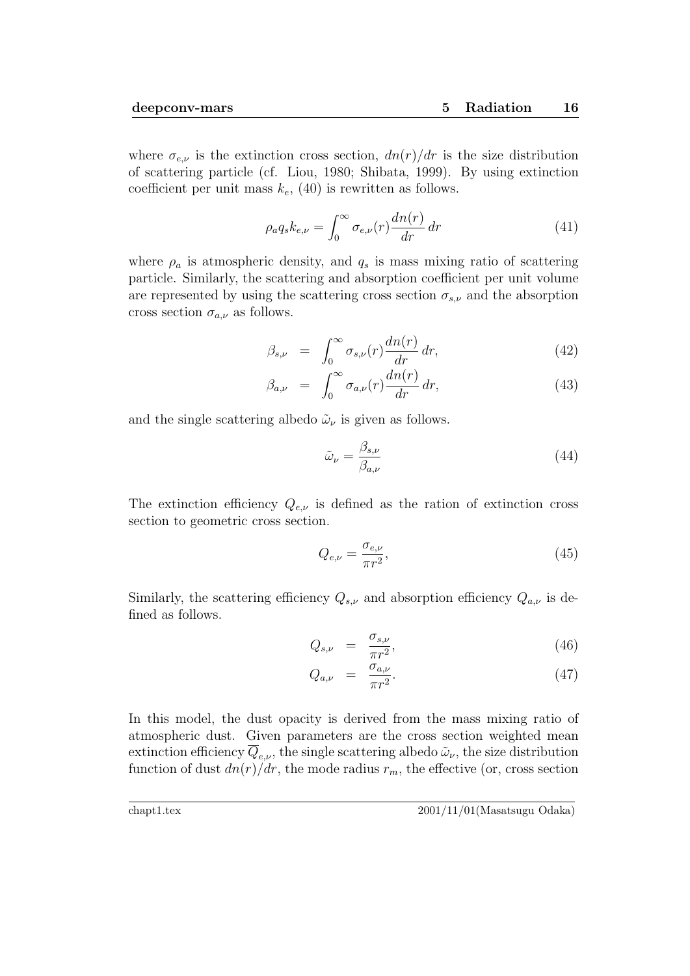where  $\sigma_{e,\nu}$  is the extinction cross section,  $dn(r)/dr$  is the size distribution of scattering particle (cf. Liou, 1980; Shibata, 1999). By using extinction coefficient per unit mass  $k_e$ ,  $(40)$  is rewritten as follows.

$$
\rho_a q_s k_{e,\nu} = \int_0^\infty \sigma_{e,\nu}(r) \frac{dn(r)}{dr} dr \tag{41}
$$

where  $\rho_a$  is atmospheric density, and  $q_s$  is mass mixing ratio of scattering particle. Similarly, the scattering and absorption coefficient per unit volume are represented by using the scattering cross section  $\sigma_{s,\nu}$  and the absorption cross section  $\sigma_{a,\nu}$  as follows.

$$
\beta_{s,\nu} = \int_0^\infty \sigma_{s,\nu}(r) \frac{dn(r)}{dr} dr, \qquad (42)
$$

$$
\beta_{a,\nu} = \int_0^\infty \sigma_{a,\nu}(r) \frac{dn(r)}{dr} dr, \tag{43}
$$

and the single scattering albedo  $\tilde{\omega}_{\nu}$  is given as follows.

$$
\tilde{\omega}_{\nu} = \frac{\beta_{s,\nu}}{\beta_{a,\nu}}\tag{44}
$$

The extinction efficiency  $Q_{e,\nu}$  is defined as the ration of extinction cross section to geometric cross section.

$$
Q_{e,\nu} = \frac{\sigma_{e,\nu}}{\pi r^2},\tag{45}
$$

Similarly, the scattering efficiency  $Q_{s,\nu}$  and absorption efficiency  $Q_{a,\nu}$  is defined as follows.

$$
Q_{s,\nu} = \frac{\sigma_{s,\nu}}{\pi r^2},\tag{46}
$$

$$
Q_{a,\nu} = \frac{\sigma_{a,\nu}}{\pi r^2}.
$$
\n(47)

In this model, the dust opacity is derived from the mass mixing ratio of atmospheric dust. Given parameters are the cross section weighted mean extinction efficiency  $Q_{e,\nu}$ , the single scattering albedo  $\tilde{\omega}_{\nu}$ , the size distribution function of dust  $dn(r)/dr$ , the mode radius  $r_m$ , the effective (or, cross section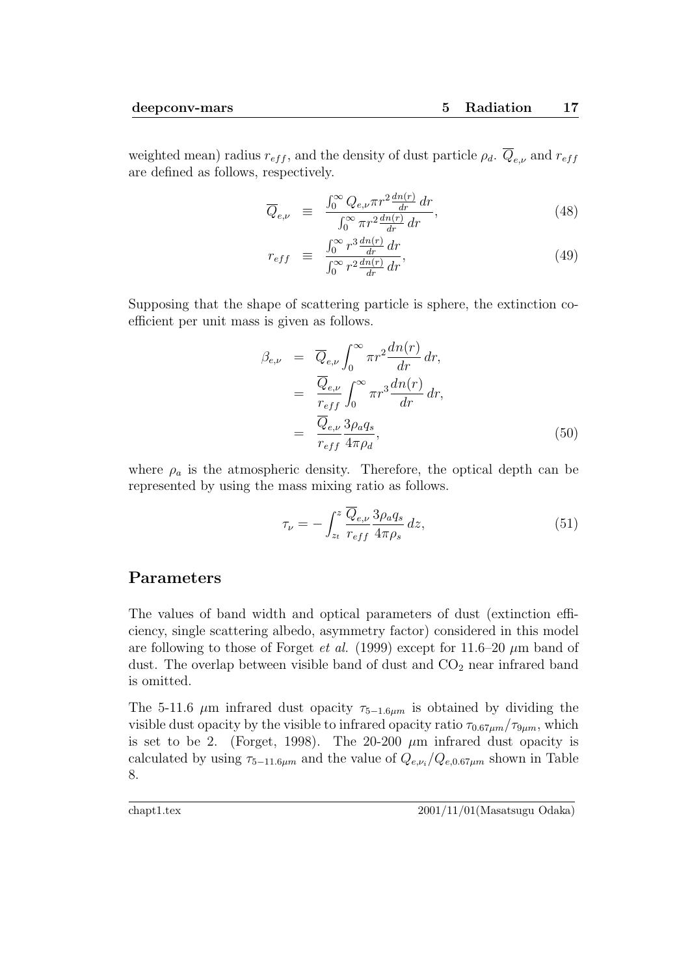weighted mean) radius  $r_{eff}$ , and the density of dust particle  $\rho_d$ .  $\overline{Q}_{e,\nu}$  and  $r_{eff}$ are defined as follows, respectively.

$$
\overline{Q}_{e,\nu} \equiv \frac{\int_0^\infty Q_{e,\nu} \pi r^2 \frac{dn(r)}{dr} dr}{\int_0^\infty \pi r^2 \frac{dn(r)}{dr} dr},\tag{48}
$$

$$
r_{eff} \equiv \frac{\int_0^\infty r^3 \frac{dn(r)}{dr} dr}{\int_0^\infty r^2 \frac{dn(r)}{dr} dr},\tag{49}
$$

Supposing that the shape of scattering particle is sphere, the extinction coefficient per unit mass is given as follows.

$$
\beta_{e,\nu} = \overline{Q}_{e,\nu} \int_0^\infty \pi r^2 \frac{dn(r)}{dr} dr,
$$
  
\n
$$
= \frac{\overline{Q}_{e,\nu}}{r_{eff}} \int_0^\infty \pi r^3 \frac{dn(r)}{dr} dr,
$$
  
\n
$$
= \frac{\overline{Q}_{e,\nu}}{r_{eff}} \frac{3\rho_a q_s}{4\pi \rho_d},
$$
\n(50)

where  $\rho_a$  is the atmospheric density. Therefore, the optical depth can be represented by using the mass mixing ratio as follows.

$$
\tau_{\nu} = -\int_{z_t}^{z} \frac{\overline{Q}_{e,\nu}}{r_{eff}} \frac{3\rho_a q_s}{4\pi \rho_s} dz,
$$
\n(51)

#### **Parameters**

The values of band width and optical parameters of dust (extinction efficiency, single scattering albedo, asymmetry factor) considered in this model are following to those of Forget *et al.* (1999) except for 11.6–20 *µ*m band of dust. The overlap between visible band of dust and  $CO<sub>2</sub>$  near infrared band is omitted.

The 5-11.6  $\mu$ m infrared dust opacity  $\tau_{5-1.6\mu m}$  is obtained by dividing the visible dust opacity by the visible to infrared opacity ratio  $\tau_{0.67\mu m}/\tau_{9\mu m}$ , which is set to be 2. (Forget, 1998). The  $20-200 \mu m$  infrared dust opacity is calculated by using  $\tau_{5-11.6\mu m}$  and the value of  $Q_{e,\nu_i}/Q_{e,0.67\mu m}$  shown in Table 8.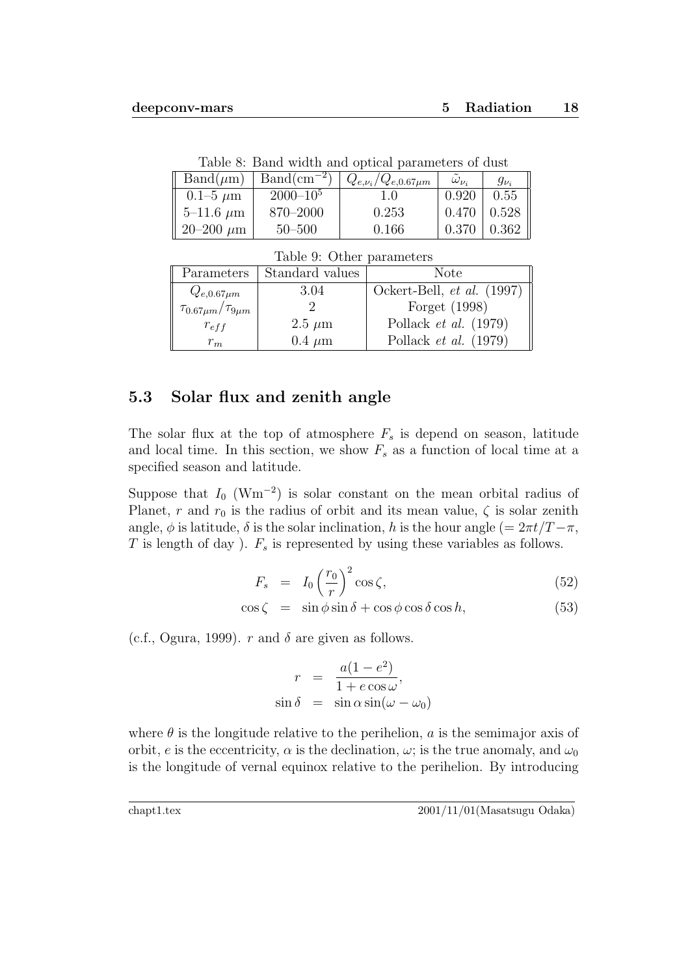|                    |                 | TWOTO OF IS WITH HIGHER WITH OR VIOUS PONTWITTO OIL OF GEORGE |                          |             |
|--------------------|-----------------|---------------------------------------------------------------|--------------------------|-------------|
| $Band(\mu m)$      | $Band(cm^{-2})$ | $Q_{e,\nu_i}/Q_{e,0.67 \mu m}$                                | $\tilde{\omega}_{\nu_i}$ | $g_{\nu_i}$ |
| $0.1 - 5 \mu m$    | $2000 - 10^5$   |                                                               | 0.920                    | 0.55        |
| $5 - 11.6 \ \mu m$ | 870-2000        | 0.253                                                         | 0.470                    | 0.528       |
| 20–200 $\mu$ m     | $50 - 500$      | 0.166                                                         | 0.370                    | 0.362       |

Table 8: Band width and optical parameters of dust

Table 9: Other parameters

| Parameters                       | Standard values | Note                              |
|----------------------------------|-----------------|-----------------------------------|
| $Q_{e,0.67\mu m}$                | 3.04            | Ockert-Bell, <i>et al.</i> (1997) |
| $\tau_{0.67\mu m}/\tau_{9\mu m}$ |                 | Forget (1998)                     |
| $r_{eff}$                        | $2.5 \ \mu m$   | Pollack <i>et al.</i> $(1979)$    |
| $r_m$                            | $0.4 \mu m$     | Pollack <i>et al.</i> $(1979)$    |

#### **5.3 Solar flux and zenith angle**

The solar flux at the top of atmosphere  $F_s$  is depend on season, latitude and local time. In this section, we show  $F_s$  as a function of local time at a specified season and latitude.

Suppose that  $I_0$  (Wm<sup>-2</sup>) is solar constant on the mean orbital radius of Planet, *r* and  $r_0$  is the radius of orbit and its mean value,  $\zeta$  is solar zenith angle,  $\phi$  is latitude,  $\delta$  is the solar inclination, h is the hour angle (=  $2\pi t/T - \pi$ , *T* is length of day ). *F<sup>s</sup>* is represented by using these variables as follows.

$$
F_s = I_0 \left(\frac{r_0}{r}\right)^2 \cos \zeta, \tag{52}
$$

$$
\cos \zeta = \sin \phi \sin \delta + \cos \phi \cos \delta \cos h, \tag{53}
$$

(c.f., Ogura, 1999).  $r$  and  $\delta$  are given as follows.

$$
r = \frac{a(1 - e^2)}{1 + e \cos \omega},
$$
  
\n
$$
\sin \delta = \sin \alpha \sin(\omega - \omega_0)
$$

where  $\theta$  is the longitude relative to the perihelion,  $\alpha$  is the semimajor axis of orbit, *e* is the eccentricity,  $\alpha$  is the declination,  $\omega$ ; is the true anomaly, and  $\omega_0$ is the longitude of vernal equinox relative to the perihelion. By introducing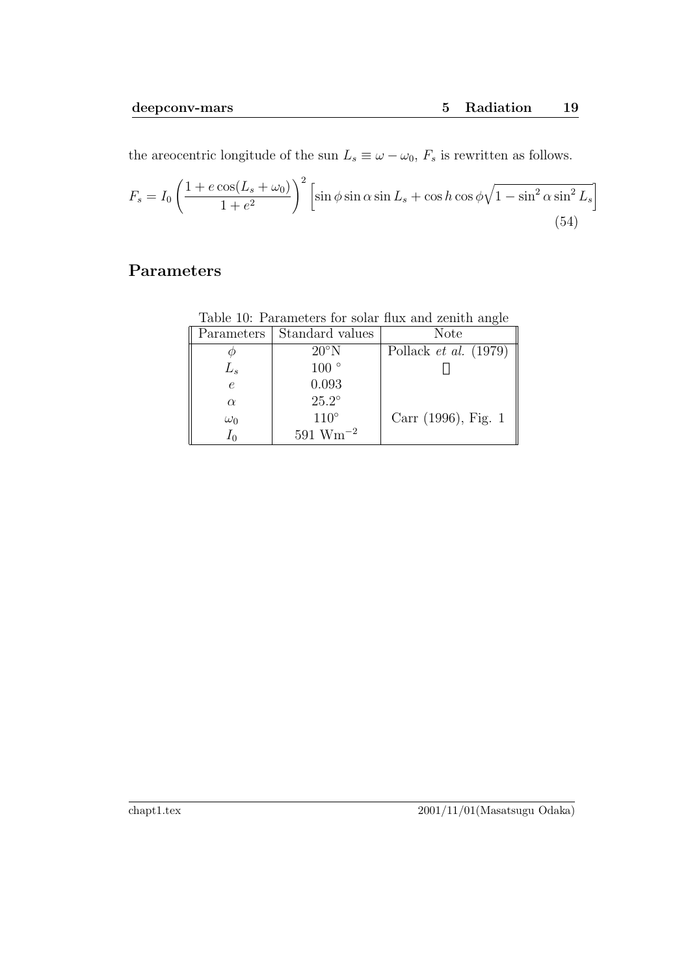the areocentric longitude of the sun  $L_s \equiv \omega - \omega_0$ ,  $F_s$  is rewritten as follows.

$$
F_s = I_0 \left( \frac{1 + e \cos(L_s + \omega_0)}{1 + e^2} \right)^2 \left[ \sin \phi \sin \alpha \sin L_s + \cos h \cos \phi \sqrt{1 - \sin^2 \alpha \sin^2 L_s} \right]
$$
(54)

## **Parameters**

Table 10: Parameters for solar flux and zenith angle

| Parameters | Standard values       | <b>Note</b>                    |
|------------|-----------------------|--------------------------------|
|            | $20^{\circ}$ N        | Pollack <i>et al.</i> $(1979)$ |
| $L_s$      | $100^{\circ}$         |                                |
| $\epsilon$ | 0.093                 |                                |
| $\alpha$   | $25.2^\circ$          |                                |
| $\omega_0$ | $110^{\circ}$         | Carr (1996), Fig. 1            |
|            | $591 \text{ Wm}^{-2}$ |                                |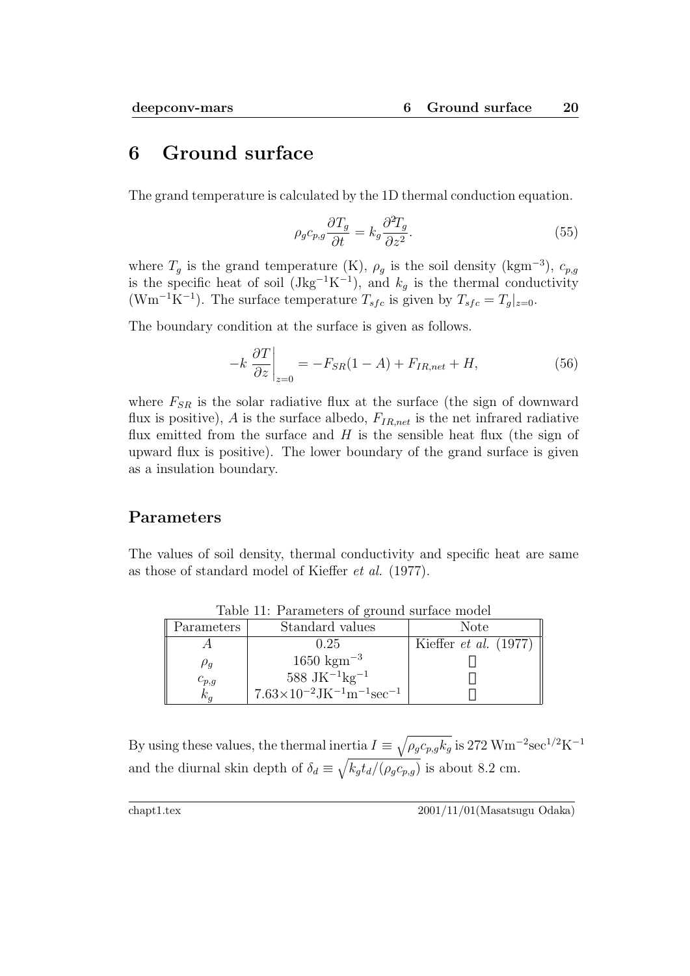## **6 Ground surface**

The grand temperature is calculated by the 1D thermal conduction equation.

$$
\rho_g c_{p,g} \frac{\partial T_g}{\partial t} = k_g \frac{\partial^2 T_g}{\partial z^2}.
$$
\n(55)

where  $T_g$  is the grand temperature (K),  $\rho_g$  is the soil density (kgm<sup>-3</sup>),  $c_{p,g}$ is the specific heat of soil  $(\text{Jkg}^{-1}\text{K}^{-1})$ , and  $k_g$  is the thermal conductivity (Wm<sup>−1</sup>K<sup>−1</sup>). The surface temperature  $T_{sfc}$  is given by  $T_{sfc} = T_g|_{z=0}$ .

The boundary condition at the surface is given as follows.

$$
-k\left.\frac{\partial T}{\partial z}\right|_{z=0} = -F_{SR}(1-A) + F_{IR,net} + H,\tag{56}
$$

where  $F_{SR}$  is the solar radiative flux at the surface (the sign of downward flux is positive), *A* is the surface albedo, *FIR,net* is the net infrared radiative flux emitted from the surface and *H* is the sensible heat flux (the sign of upward flux is positive). The lower boundary of the grand surface is given as a insulation boundary.

#### **Parameters**

The values of soil density, thermal conductivity and specific heat are same as those of standard model of Kieffer *et al.* (1977).

| Parameters | Standard values                                                        | <b>Note</b>                    |
|------------|------------------------------------------------------------------------|--------------------------------|
|            | 0.25                                                                   | Kieffer <i>et al.</i> $(1977)$ |
| $\rho_q$   | $1650 \text{ kgm}^{-3}$                                                |                                |
| $c_{p,g}$  | 588 JK <sup><math>-1</math></sup> kg <sup><math>-1</math></sup>        |                                |
| $k_a$      | $7.63\times10^{-2}$ JK <sup>-1</sup> m <sup>-1</sup> sec <sup>-1</sup> |                                |

Table 11: Parameters of ground surface model

By using these values, the thermal inertia  $I \equiv \sqrt{\rho_g c_{p,g} k_g}$  is 272 Wm<sup>-2</sup>sec<sup>1/2</sup>K<sup>-1</sup> and the diurnal skin depth of  $\delta_d \equiv \sqrt{k_g t_d/(\rho_g c_{p,g})}$  is about 8.2 cm.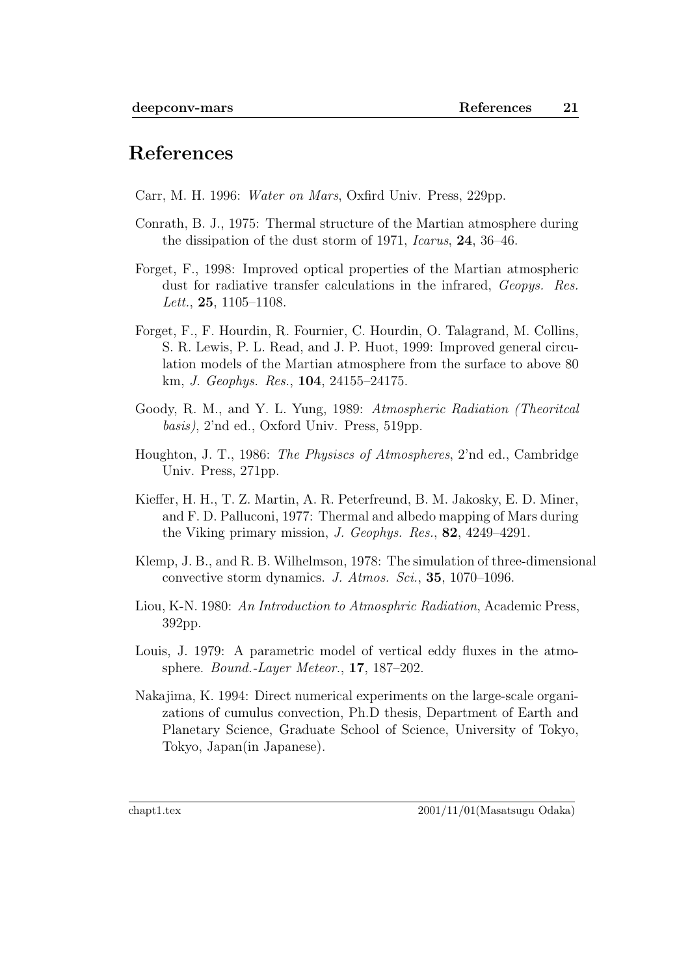## **References**

Carr, M. H. 1996: *Water on Mars*, Oxfird Univ. Press, 229pp.

- Conrath, B. J., 1975: Thermal structure of the Martian atmosphere during the dissipation of the dust storm of 1971, *Icarus*, **24**, 36–46.
- Forget, F., 1998: Improved optical properties of the Martian atmospheric dust for radiative transfer calculations in the infrared, *Geopys. Res. Lett.*, **25**, 1105–1108.
- Forget, F., F. Hourdin, R. Fournier, C. Hourdin, O. Talagrand, M. Collins, S. R. Lewis, P. L. Read, and J. P. Huot, 1999: Improved general circulation models of the Martian atmosphere from the surface to above 80 km, *J. Geophys. Res.*, **104**, 24155–24175.
- Goody, R. M., and Y. L. Yung, 1989: *Atmospheric Radiation (Theoritcal basis)*, 2'nd ed., Oxford Univ. Press, 519pp.
- Houghton, J. T., 1986: *The Physiscs of Atmospheres*, 2'nd ed., Cambridge Univ. Press, 271pp.
- Kieffer, H. H., T. Z. Martin, A. R. Peterfreund, B. M. Jakosky, E. D. Miner, and F. D. Palluconi, 1977: Thermal and albedo mapping of Mars during the Viking primary mission, *J. Geophys. Res.*, **82**, 4249–4291.
- Klemp, J. B., and R. B. Wilhelmson, 1978: The simulation of three-dimensional convective storm dynamics. *J. Atmos. Sci.*, **35**, 1070–1096.
- Liou, K-N. 1980: *An Introduction to Atmosphric Radiation*, Academic Press, 392pp.
- Louis, J. 1979: A parametric model of vertical eddy fluxes in the atmosphere. *Bound.-Layer Meteor.*, **17**, 187–202.
- Nakajima, K. 1994: Direct numerical experiments on the large-scale organizations of cumulus convection, Ph.D thesis, Department of Earth and Planetary Science, Graduate School of Science, University of Tokyo, Tokyo, Japan(in Japanese).